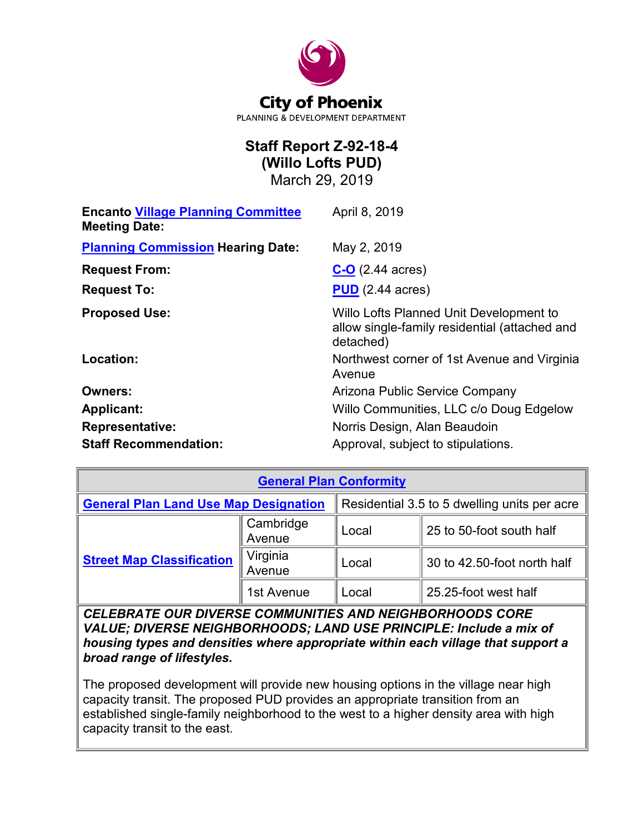

# **Staff Report Z-92-18-4 (Willo Lofts PUD)**

March 29, 2019

| <b>Encanto Village Planning Committee</b><br><b>Meeting Date:</b> | April 8, 2019                                                                                         |
|-------------------------------------------------------------------|-------------------------------------------------------------------------------------------------------|
| <b>Planning Commission Hearing Date:</b>                          | May 2, 2019                                                                                           |
| <b>Request From:</b>                                              | $C-O$ (2.44 acres)                                                                                    |
| <b>Request To:</b>                                                | $PUD$ (2.44 acres)                                                                                    |
| <b>Proposed Use:</b>                                              | Willo Lofts Planned Unit Development to<br>allow single-family residential (attached and<br>detached) |
| Location:                                                         | Northwest corner of 1st Avenue and Virginia<br>Avenue                                                 |
| <b>Owners:</b>                                                    | Arizona Public Service Company                                                                        |
| <b>Applicant:</b>                                                 | Willo Communities, LLC c/o Doug Edgelow                                                               |
| <b>Representative:</b>                                            | Norris Design, Alan Beaudoin                                                                          |
| <b>Staff Recommendation:</b>                                      | Approval, subject to stipulations.                                                                    |

| <b>General Plan Conformity</b>               |                     |                                              |                             |
|----------------------------------------------|---------------------|----------------------------------------------|-----------------------------|
| <b>General Plan Land Use Map Designation</b> |                     | Residential 3.5 to 5 dwelling units per acre |                             |
| <b>Street Map Classification</b>             | Cambridge<br>Avenue | Local                                        | 25 to 50-foot south half    |
|                                              | Virginia<br>Avenue  | Local                                        | 30 to 42.50-foot north half |
|                                              | 1st Avenue          | ⊥ocal                                        | 25.25-foot west half        |

*CELEBRATE OUR DIVERSE COMMUNITIES AND NEIGHBORHOODS CORE VALUE; DIVERSE NEIGHBORHOODS; LAND USE PRINCIPLE: Include a mix of housing types and densities where appropriate within each village that support a broad range of lifestyles.*

The proposed development will provide new housing options in the village near high capacity transit. The proposed PUD provides an appropriate transition from an established single-family neighborhood to the west to a higher density area with high capacity transit to the east.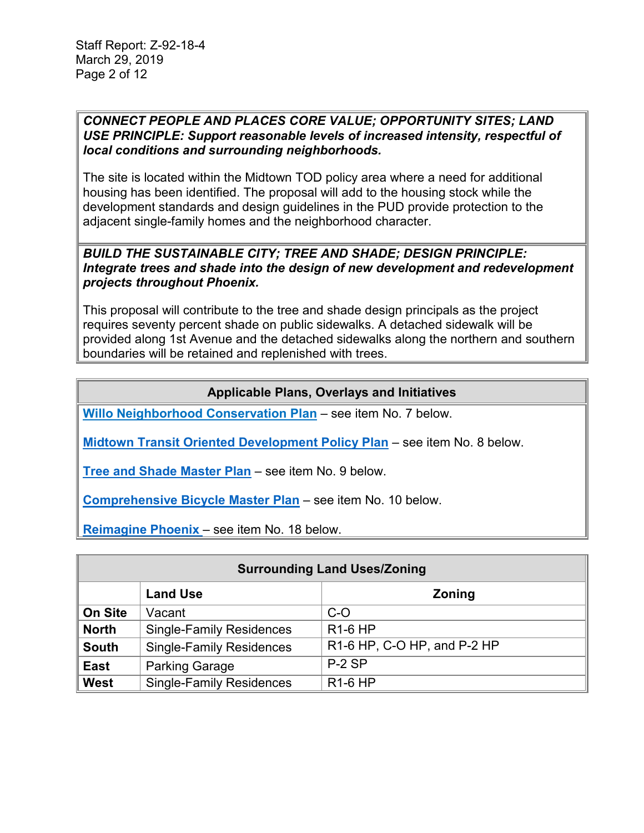### *CONNECT PEOPLE AND PLACES CORE VALUE; OPPORTUNITY SITES; LAND USE PRINCIPLE: Support reasonable levels of increased intensity, respectful of local conditions and surrounding neighborhoods.*

The site is located within the Midtown TOD policy area where a need for additional housing has been identified. The proposal will add to the housing stock while the development standards and design guidelines in the PUD provide protection to the adjacent single-family homes and the neighborhood character.

### *BUILD THE SUSTAINABLE CITY; TREE AND SHADE; DESIGN PRINCIPLE: Integrate trees and shade into the design of new development and redevelopment projects throughout Phoenix.*

This proposal will contribute to the tree and shade design principals as the project requires seventy percent shade on public sidewalks. A detached sidewalk will be provided along 1st Avenue and the detached sidewalks along the northern and southern boundaries will be retained and replenished with trees.

# **Applicable Plans, Overlays and Initiatives**

**[Willo Neighborhood Conservation Plan](https://www.phoenix.gov/villagessite/Documents/pdd_pz_pdf_00408.pdf)** – see item No. 7 below.

**[Midtown Transit Oriented Development Policy Plan](https://www.phoenix.gov/pddsite/Documents/PZ/ReinventPHX%20MIDTOWN%20TOD%20Policy%20Plan%208.5X11.pdf)** – see item No. 8 below.

**[Tree and Shade Master Plan](https://www.phoenix.gov/parks/parks/urban-forest/tree-and-shade)** – see item No. 9 below.

**[Comprehensive Bicycle Master Plan](https://www.phoenix.gov/streetssite/Documents/2014bikePHX_DraftFinalReport_web.pdf)** – see item No. 10 below.

**[Reimagine Phoenix](https://www.phoenix.gov/publicworks/reimagine)** – see item No. 18 below.

| <b>Surrounding Land Uses/Zoning</b> |                                 |                             |
|-------------------------------------|---------------------------------|-----------------------------|
|                                     | <b>Land Use</b>                 | Zoning                      |
| <b>On Site</b>                      | Vacant                          | $C-O$                       |
| <b>North</b>                        | <b>Single-Family Residences</b> | <b>R1-6 HP</b>              |
| <b>South</b>                        | <b>Single-Family Residences</b> | R1-6 HP, C-O HP, and P-2 HP |
| <b>East</b>                         | <b>Parking Garage</b>           | $P-2SP$                     |
| <b>West</b>                         | <b>Single-Family Residences</b> | <b>R1-6 HP</b>              |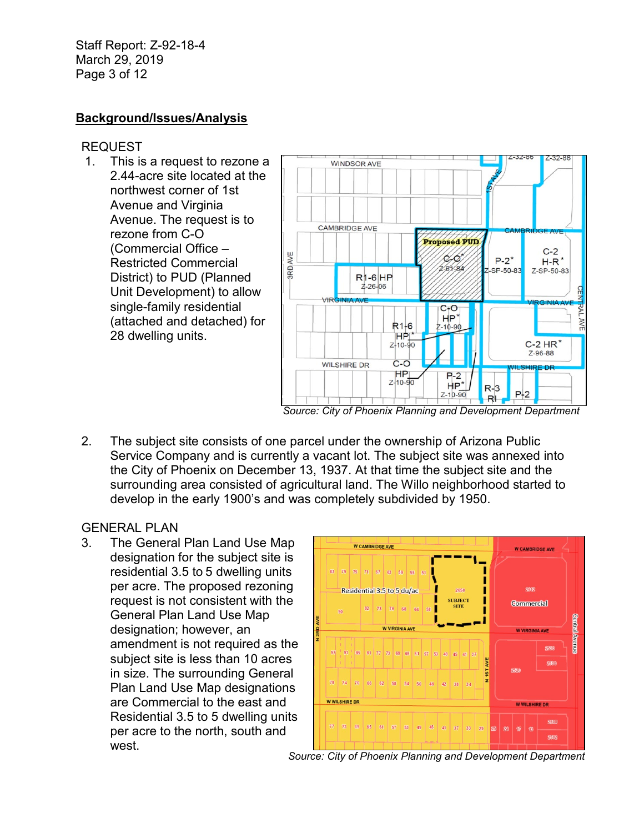Staff Report: Z-92-18-4 March 29, 2019 Page 3 of 12

# **Background/Issues/Analysis**

### REQUEST

1. This is a request to rezone a 2.44-acre site located at the northwest corner of 1st Avenue and Virginia Avenue. The request is to rezone from C-O (Commercial Office – Restricted Commercial District) to PUD (Planned Unit Development) to allow single-family residential (attached and detached) for 28 dwelling units.



2. The subject site consists of one parcel under the ownership of Arizona Public Service Company and is currently a vacant lot. The subject site was annexed into the City of Phoenix on December 13, 1937. At that time the subject site and the surrounding area consisted of agricultural land. The Willo neighborhood started to develop in the early 1900's and was completely subdivided by 1950.

### GENERAL PLAN

3. The General Plan Land Use Map designation for the subject site is residential 3.5 to 5 dwelling units per acre. The proposed rezoning request is not consistent with the General Plan Land Use Map designation; however, an amendment is not required as the subject site is less than 10 acres in size. The surrounding General Plan Land Use Map designations are Commercial to the east and Residential 3.5 to 5 dwelling units per acre to the north, south and west.



*Source: City of Phoenix Planning and Development Department*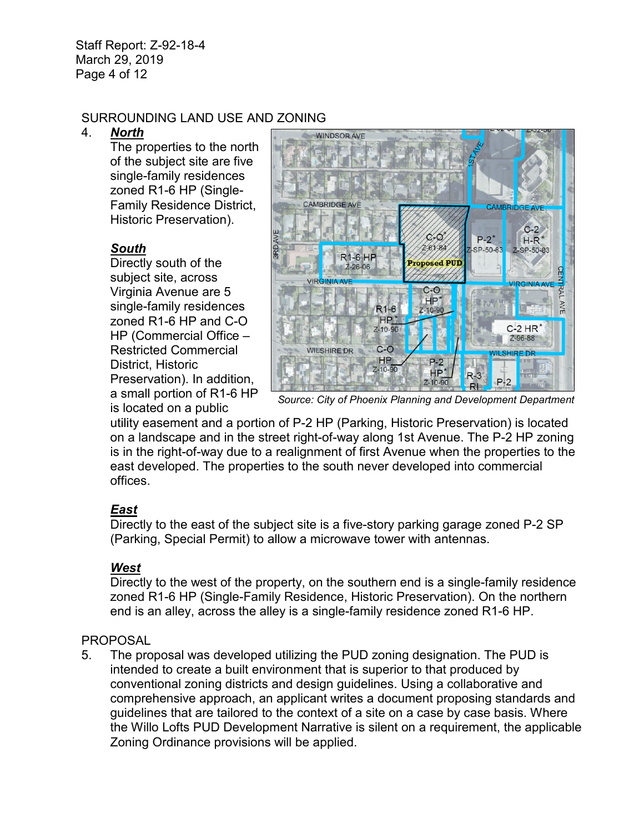Staff Report: Z-92-18-4 March 29, 2019 Page 4 of 12

## SURROUNDING LAND USE AND ZONING

### 4. *North*

The properties to the north of the subject site are five single-family residences zoned R1-6 HP (Single-Family Residence District, Historic Preservation).

# *South*

Directly south of the subject site, across Virginia Avenue are 5 single-family residences zoned R1-6 HP and C-O HP (Commercial Office – Restricted Commercial District, Historic Preservation). In addition, a small portion of R1-6 HP is located on a public



*Source: City of Phoenix Planning and Development Department*

utility easement and a portion of P-2 HP (Parking, Historic Preservation) is located on a landscape and in the street right-of-way along 1st Avenue. The P-2 HP zoning is in the right-of-way due to a realignment of first Avenue when the properties to the east developed. The properties to the south never developed into commercial offices.

# *East*

Directly to the east of the subject site is a five-story parking garage zoned P-2 SP (Parking, Special Permit) to allow a microwave tower with antennas.

# *West*

Directly to the west of the property, on the southern end is a single-family residence zoned R1-6 HP (Single-Family Residence, Historic Preservation). On the northern end is an alley, across the alley is a single-family residence zoned R1-6 HP.

# PROPOSAL

5. The proposal was developed utilizing the PUD zoning designation. The PUD is intended to create a built environment that is superior to that produced by conventional zoning districts and design guidelines. Using a collaborative and comprehensive approach, an applicant writes a document proposing standards and guidelines that are tailored to the context of a site on a case by case basis. Where the Willo Lofts PUD Development Narrative is silent on a requirement, the applicable Zoning Ordinance provisions will be applied.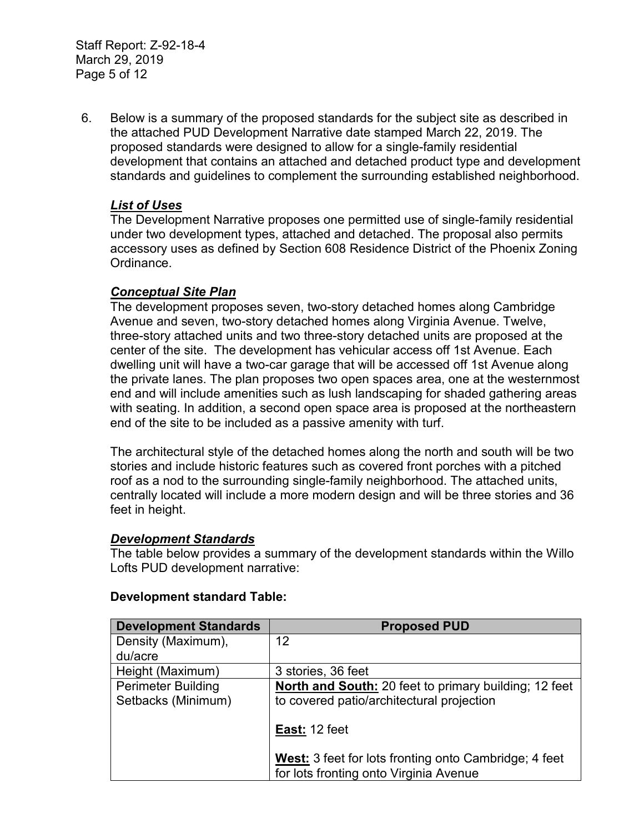Staff Report: Z-92-18-4 March 29, 2019 Page 5 of 12

6. Below is a summary of the proposed standards for the subject site as described in the attached PUD Development Narrative date stamped March 22, 2019. The proposed standards were designed to allow for a single-family residential development that contains an attached and detached product type and development standards and guidelines to complement the surrounding established neighborhood.

## *List of Uses*

The Development Narrative proposes one permitted use of single-family residential under two development types, attached and detached. The proposal also permits accessory uses as defined by Section 608 Residence District of the Phoenix Zoning Ordinance.

### *Conceptual Site Plan*

The development proposes seven, two-story detached homes along Cambridge Avenue and seven, two-story detached homes along Virginia Avenue. Twelve, three-story attached units and two three-story detached units are proposed at the center of the site. The development has vehicular access off 1st Avenue. Each dwelling unit will have a two-car garage that will be accessed off 1st Avenue along the private lanes. The plan proposes two open spaces area, one at the westernmost end and will include amenities such as lush landscaping for shaded gathering areas with seating. In addition, a second open space area is proposed at the northeastern end of the site to be included as a passive amenity with turf.

The architectural style of the detached homes along the north and south will be two stories and include historic features such as covered front porches with a pitched roof as a nod to the surrounding single-family neighborhood. The attached units, centrally located will include a more modern design and will be three stories and 36 feet in height.

### *Development Standards*

The table below provides a summary of the development standards within the Willo Lofts PUD development narrative:

| <b>Development Standards</b> | <b>Proposed PUD</b>                                                                             |
|------------------------------|-------------------------------------------------------------------------------------------------|
| Density (Maximum),           | 12                                                                                              |
| du/acre                      |                                                                                                 |
| Height (Maximum)             | 3 stories, 36 feet                                                                              |
| <b>Perimeter Building</b>    | North and South: 20 feet to primary building; 12 feet                                           |
| Setbacks (Minimum)           | to covered patio/architectural projection                                                       |
|                              | East: 12 feet                                                                                   |
|                              | West: 3 feet for lots fronting onto Cambridge; 4 feet<br>for lots fronting onto Virginia Avenue |

### **Development standard Table:**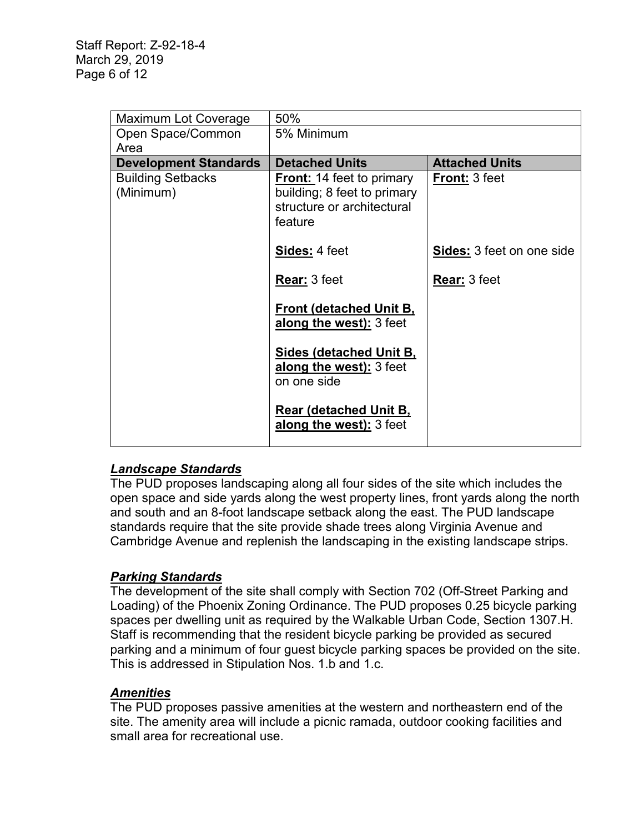| <b>Maximum Lot Coverage</b>           | 50%                                                                                                      |                                  |
|---------------------------------------|----------------------------------------------------------------------------------------------------------|----------------------------------|
| Open Space/Common                     | 5% Minimum                                                                                               |                                  |
| Area                                  |                                                                                                          |                                  |
| <b>Development Standards</b>          | <b>Detached Units</b>                                                                                    | <b>Attached Units</b>            |
| <b>Building Setbacks</b><br>(Minimum) | <b>Front:</b> 14 feet to primary<br>building; 8 feet to primary<br>structure or architectural<br>feature | <b>Front: 3 feet</b>             |
|                                       | Sides: 4 feet                                                                                            | <b>Sides:</b> 3 feet on one side |
|                                       | <b>Rear: 3 feet</b>                                                                                      | <b>Rear: 3 feet</b>              |
|                                       | <b>Front (detached Unit B,</b><br>along the west): 3 feet                                                |                                  |
|                                       | <b>Sides (detached Unit B,</b><br>along the west): 3 feet<br>on one side                                 |                                  |
|                                       | <b>Rear (detached Unit B,</b><br>along the west): 3 feet                                                 |                                  |

# *Landscape Standards*

The PUD proposes landscaping along all four sides of the site which includes the open space and side yards along the west property lines, front yards along the north and south and an 8-foot landscape setback along the east. The PUD landscape standards require that the site provide shade trees along Virginia Avenue and Cambridge Avenue and replenish the landscaping in the existing landscape strips.

# *Parking Standards*

The development of the site shall comply with Section 702 (Off-Street Parking and Loading) of the Phoenix Zoning Ordinance. The PUD proposes 0.25 bicycle parking spaces per dwelling unit as required by the Walkable Urban Code, Section 1307.H. Staff is recommending that the resident bicycle parking be provided as secured parking and a minimum of four guest bicycle parking spaces be provided on the site. This is addressed in Stipulation Nos. 1.b and 1.c.

# *Amenities*

The PUD proposes passive amenities at the western and northeastern end of the site. The amenity area will include a picnic ramada, outdoor cooking facilities and small area for recreational use.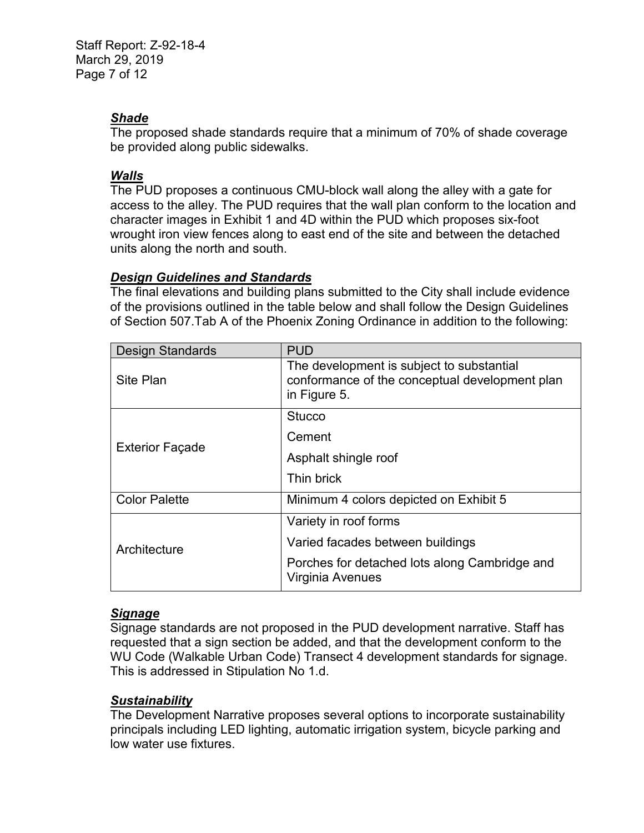Staff Report: Z-92-18-4 March 29, 2019 Page 7 of 12

### *Shade*

The proposed shade standards require that a minimum of 70% of shade coverage be provided along public sidewalks.

### *Walls*

The PUD proposes a continuous CMU-block wall along the alley with a gate for access to the alley. The PUD requires that the wall plan conform to the location and character images in Exhibit 1 and 4D within the PUD which proposes six-foot wrought iron view fences along to east end of the site and between the detached units along the north and south.

### *Design Guidelines and Standards*

The final elevations and building plans submitted to the City shall include evidence of the provisions outlined in the table below and shall follow the Design Guidelines of Section 507.Tab A of the Phoenix Zoning Ordinance in addition to the following:

| <b>Design Standards</b> | <b>PUD</b>                                                                                                  |
|-------------------------|-------------------------------------------------------------------------------------------------------------|
| Site Plan               | The development is subject to substantial<br>conformance of the conceptual development plan<br>in Figure 5. |
| <b>Exterior Façade</b>  | <b>Stucco</b>                                                                                               |
|                         | Cement                                                                                                      |
|                         | Asphalt shingle roof                                                                                        |
|                         | Thin brick                                                                                                  |
| <b>Color Palette</b>    | Minimum 4 colors depicted on Exhibit 5                                                                      |
| Architecture            | Variety in roof forms                                                                                       |
|                         | Varied facades between buildings                                                                            |
|                         | Porches for detached lots along Cambridge and<br>Virginia Avenues                                           |

# *Signage*

Signage standards are not proposed in the PUD development narrative. Staff has requested that a sign section be added, and that the development conform to the WU Code (Walkable Urban Code) Transect 4 development standards for signage. This is addressed in Stipulation No 1.d.

### *Sustainability*

The Development Narrative proposes several options to incorporate sustainability principals including LED lighting, automatic irrigation system, bicycle parking and low water use fixtures.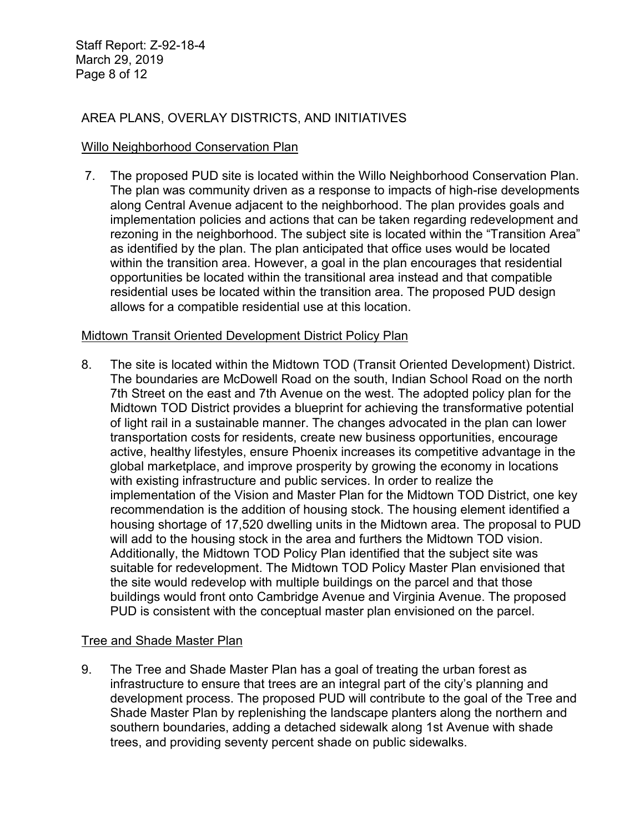Staff Report: Z-92-18-4 March 29, 2019 Page 8 of 12

# AREA PLANS, OVERLAY DISTRICTS, AND INITIATIVES

### Willo Neighborhood Conservation Plan

7. The proposed PUD site is located within the Willo Neighborhood Conservation Plan. The plan was community driven as a response to impacts of high-rise developments along Central Avenue adjacent to the neighborhood. The plan provides goals and implementation policies and actions that can be taken regarding redevelopment and rezoning in the neighborhood. The subject site is located within the "Transition Area" as identified by the plan. The plan anticipated that office uses would be located within the transition area. However, a goal in the plan encourages that residential opportunities be located within the transitional area instead and that compatible residential uses be located within the transition area. The proposed PUD design allows for a compatible residential use at this location.

#### Midtown Transit Oriented Development District Policy Plan

8. The site is located within the Midtown TOD (Transit Oriented Development) District. The boundaries are McDowell Road on the south, Indian School Road on the north 7th Street on the east and 7th Avenue on the west. The adopted policy plan for the Midtown TOD District provides a blueprint for achieving the transformative potential of light rail in a sustainable manner. The changes advocated in the plan can lower transportation costs for residents, create new business opportunities, encourage active, healthy lifestyles, ensure Phoenix increases its competitive advantage in the global marketplace, and improve prosperity by growing the economy in locations with existing infrastructure and public services. In order to realize the implementation of the Vision and Master Plan for the Midtown TOD District, one key recommendation is the addition of housing stock. The housing element identified a housing shortage of 17,520 dwelling units in the Midtown area. The proposal to PUD will add to the housing stock in the area and furthers the Midtown TOD vision. Additionally, the Midtown TOD Policy Plan identified that the subject site was suitable for redevelopment. The Midtown TOD Policy Master Plan envisioned that the site would redevelop with multiple buildings on the parcel and that those buildings would front onto Cambridge Avenue and Virginia Avenue. The proposed PUD is consistent with the conceptual master plan envisioned on the parcel.

### Tree and Shade Master Plan

9. The Tree and Shade Master Plan has a goal of treating the urban forest as infrastructure to ensure that trees are an integral part of the city's planning and development process. The proposed PUD will contribute to the goal of the Tree and Shade Master Plan by replenishing the landscape planters along the northern and southern boundaries, adding a detached sidewalk along 1st Avenue with shade trees, and providing seventy percent shade on public sidewalks.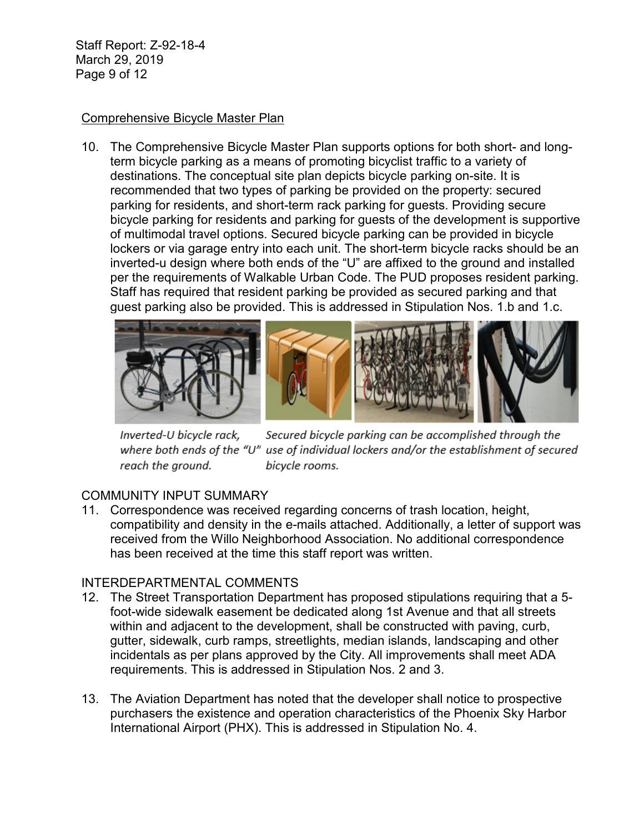Staff Report: Z-92-18-4 March 29, 2019 Page 9 of 12

### Comprehensive Bicycle Master Plan

10. The Comprehensive Bicycle Master Plan supports options for both short- and longterm bicycle parking as a means of promoting bicyclist traffic to a variety of destinations. The conceptual site plan depicts bicycle parking on-site. It is recommended that two types of parking be provided on the property: secured parking for residents, and short-term rack parking for guests. Providing secure bicycle parking for residents and parking for guests of the development is supportive of multimodal travel options. Secured bicycle parking can be provided in bicycle lockers or via garage entry into each unit. The short-term bicycle racks should be an inverted-u design where both ends of the "U" are affixed to the ground and installed per the requirements of Walkable Urban Code. The PUD proposes resident parking. Staff has required that resident parking be provided as secured parking and that guest parking also be provided. This is addressed in Stipulation Nos. 1.b and 1.c.



Secured bicycle parking can be accomplished through the Inverted-U bicycle rack, where both ends of the "U" use of individual lockers and/or the establishment of secured reach the ground. bicycle rooms.

# COMMUNITY INPUT SUMMARY

11. Correspondence was received regarding concerns of trash location, height, compatibility and density in the e-mails attached. Additionally, a letter of support was received from the Willo Neighborhood Association. No additional correspondence has been received at the time this staff report was written.

### INTERDEPARTMENTAL COMMENTS

- 12. The Street Transportation Department has proposed stipulations requiring that a 5 foot-wide sidewalk easement be dedicated along 1st Avenue and that all streets within and adjacent to the development, shall be constructed with paving, curb, gutter, sidewalk, curb ramps, streetlights, median islands, landscaping and other incidentals as per plans approved by the City. All improvements shall meet ADA requirements. This is addressed in Stipulation Nos. 2 and 3.
- 13. The Aviation Department has noted that the developer shall notice to prospective purchasers the existence and operation characteristics of the Phoenix Sky Harbor International Airport (PHX). This is addressed in Stipulation No. 4.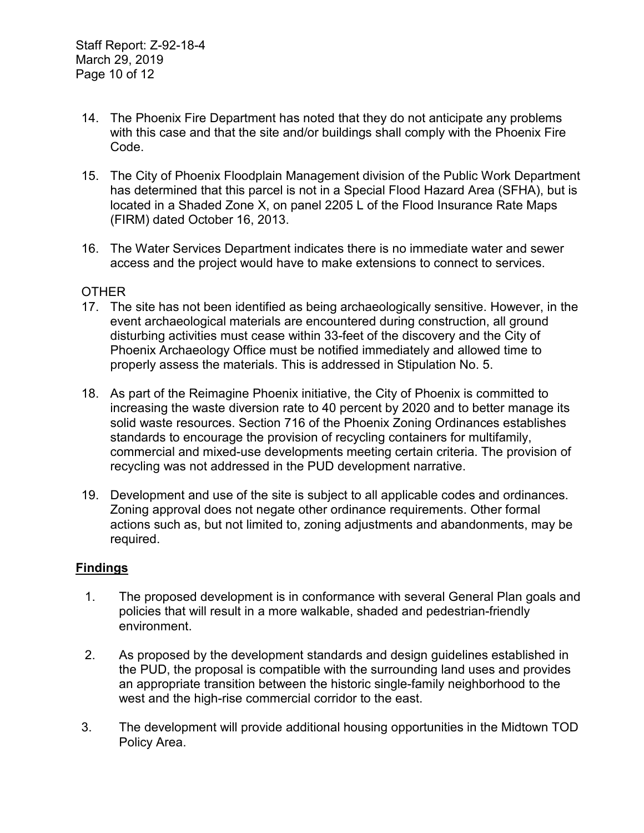- 14. The Phoenix Fire Department has noted that they do not anticipate any problems with this case and that the site and/or buildings shall comply with the Phoenix Fire Code.
- 15. The City of Phoenix Floodplain Management division of the Public Work Department has determined that this parcel is not in a Special Flood Hazard Area (SFHA), but is located in a Shaded Zone X, on panel 2205 L of the Flood Insurance Rate Maps (FIRM) dated October 16, 2013.
- 16. The Water Services Department indicates there is no immediate water and sewer access and the project would have to make extensions to connect to services.

### **OTHER**

- 17. The site has not been identified as being archaeologically sensitive. However, in the event archaeological materials are encountered during construction, all ground disturbing activities must cease within 33-feet of the discovery and the City of Phoenix Archaeology Office must be notified immediately and allowed time to properly assess the materials. This is addressed in Stipulation No. 5.
- 18. As part of the Reimagine Phoenix initiative, the City of Phoenix is committed to increasing the waste diversion rate to 40 percent by 2020 and to better manage its solid waste resources. Section 716 of the Phoenix Zoning Ordinances establishes standards to encourage the provision of recycling containers for multifamily, commercial and mixed-use developments meeting certain criteria. The provision of recycling was not addressed in the PUD development narrative.
- 19. Development and use of the site is subject to all applicable codes and ordinances. Zoning approval does not negate other ordinance requirements. Other formal actions such as, but not limited to, zoning adjustments and abandonments, may be required.

### **Findings**

- 1. The proposed development is in conformance with several General Plan goals and policies that will result in a more walkable, shaded and pedestrian-friendly environment.
- 2. As proposed by the development standards and design guidelines established in the PUD, the proposal is compatible with the surrounding land uses and provides an appropriate transition between the historic single-family neighborhood to the west and the high-rise commercial corridor to the east.
- 3. The development will provide additional housing opportunities in the Midtown TOD Policy Area.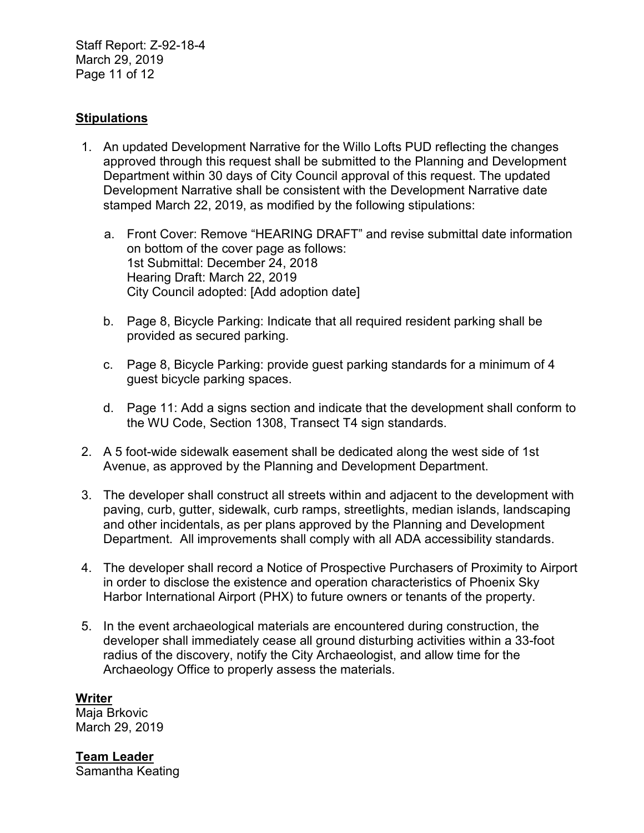Staff Report: Z-92-18-4 March 29, 2019 Page 11 of 12

## **Stipulations**

- 1. An updated Development Narrative for the Willo Lofts PUD reflecting the changes approved through this request shall be submitted to the Planning and Development Department within 30 days of City Council approval of this request. The updated Development Narrative shall be consistent with the Development Narrative date stamped March 22, 2019, as modified by the following stipulations:
	- a. Front Cover: Remove "HEARING DRAFT" and revise submittal date information on bottom of the cover page as follows: 1st Submittal: December 24, 2018 Hearing Draft: March 22, 2019 City Council adopted: [Add adoption date]
	- b. Page 8, Bicycle Parking: Indicate that all required resident parking shall be provided as secured parking.
	- c. Page 8, Bicycle Parking: provide guest parking standards for a minimum of 4 guest bicycle parking spaces.
	- d. Page 11: Add a signs section and indicate that the development shall conform to the WU Code, Section 1308, Transect T4 sign standards.
- 2. A 5 foot-wide sidewalk easement shall be dedicated along the west side of 1st Avenue, as approved by the Planning and Development Department.
- 3. The developer shall construct all streets within and adjacent to the development with paving, curb, gutter, sidewalk, curb ramps, streetlights, median islands, landscaping and other incidentals, as per plans approved by the Planning and Development Department. All improvements shall comply with all ADA accessibility standards.
- 4. The developer shall record a Notice of Prospective Purchasers of Proximity to Airport in order to disclose the existence and operation characteristics of Phoenix Sky Harbor International Airport (PHX) to future owners or tenants of the property.
- 5. In the event archaeological materials are encountered during construction, the developer shall immediately cease all ground disturbing activities within a 33-foot radius of the discovery, notify the City Archaeologist, and allow time for the Archaeology Office to properly assess the materials.

**Writer** Maja Brkovic March 29, 2019

**Team Leader** Samantha Keating